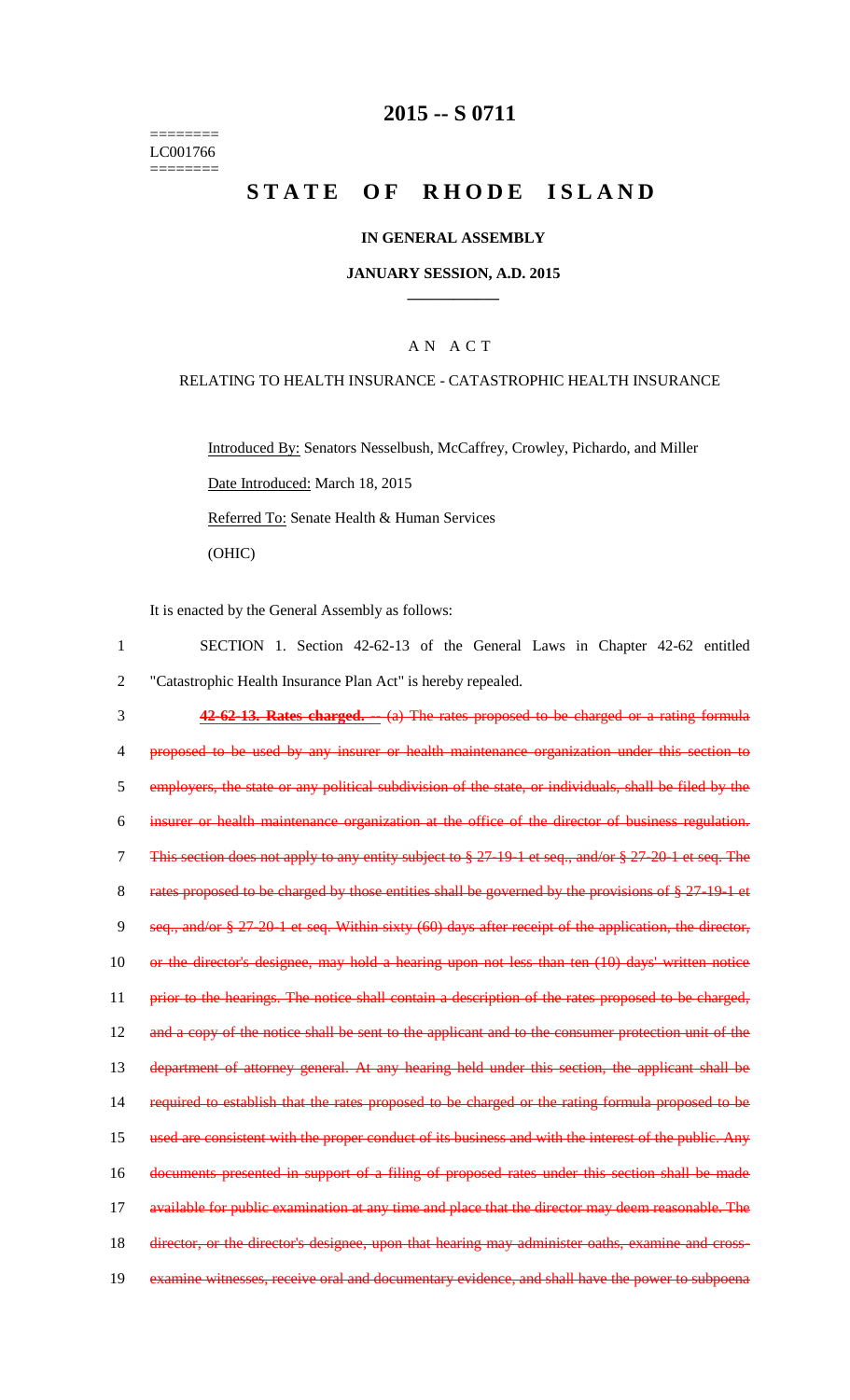======== LC001766 ========

# **2015 -- S 0711**

# **STATE OF RHODE ISLAND**

### **IN GENERAL ASSEMBLY**

#### **JANUARY SESSION, A.D. 2015 \_\_\_\_\_\_\_\_\_\_\_\_**

### A N A C T

#### RELATING TO HEALTH INSURANCE - CATASTROPHIC HEALTH INSURANCE

Introduced By: Senators Nesselbush, McCaffrey, Crowley, Pichardo, and Miller Date Introduced: March 18, 2015 Referred To: Senate Health & Human Services (OHIC)

It is enacted by the General Assembly as follows:

1 SECTION 1. Section 42-62-13 of the General Laws in Chapter 42-62 entitled 2 "Catastrophic Health Insurance Plan Act" is hereby repealed. 3 **42-62-13. Rates charged. --** (a) The rates proposed to be charged or a rating formula 4 proposed to be used by any insurer or health maintenance organization under this section to 5 employers, the state or any political subdivision of the state, or individuals, shall be filed by the 6 insurer or health maintenance organization at the office of the director of business regulation. 7 This section does not apply to any entity subject to § 27-19-1 et seq., and/or § 27-20-1 et seq. The 8 rates proposed to be charged by those entities shall be governed by the provisions of § 27-19-1 et 9 seq., and/or § 27-20-1 et seq. Within sixty (60) days after receipt of the application, the director, 10 or the director's designee, may hold a hearing upon not less than ten (10) days' written notice 11 prior to the hearings. The notice shall contain a description of the rates proposed to be charged, 12 and a copy of the notice shall be sent to the applicant and to the consumer protection unit of the 13 department of attorney general. At any hearing held under this section, the applicant shall be 14 required to establish that the rates proposed to be charged or the rating formula proposed to be 15 used are consistent with the proper conduct of its business and with the interest of the public. Any 16 documents presented in support of a filing of proposed rates under this section shall be made 17 available for public examination at any time and place that the director may deem reasonable. The 18 director, or the director's designee, upon that hearing may administer oaths, examine and cross-19 examine witnesses, receive oral and documentary evidence, and shall have the power to subpoena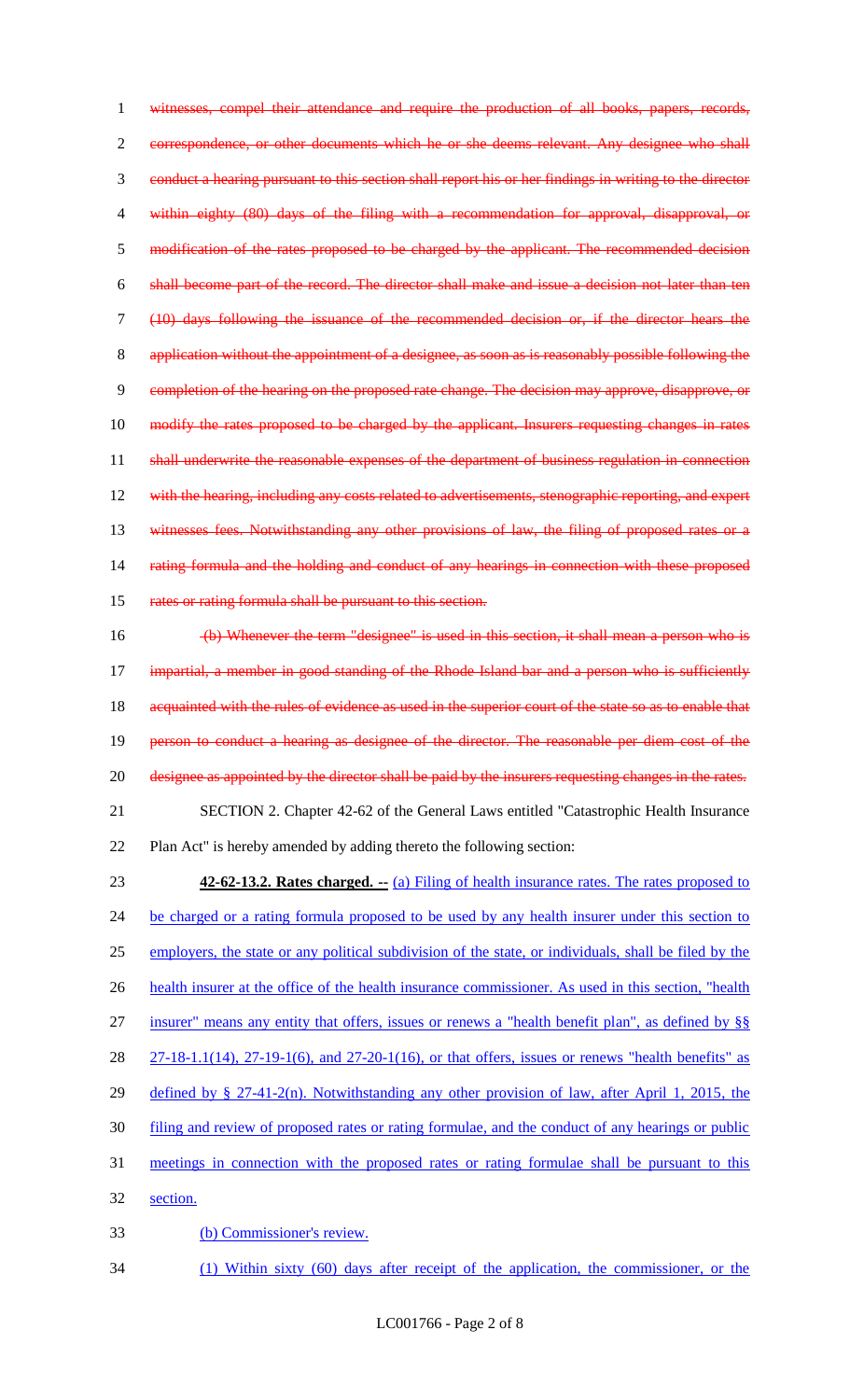witnesses, compel their attendance and require the production of all books, papers, records, correspondence, or other documents which he or she deems relevant. Any designee who shall conduct a hearing pursuant to this section shall report his or her findings in writing to the director within eighty (80) days of the filing with a recommendation for approval, disapproval, or 5 modification of the rates proposed to be charged by the applicant. The recommended decision shall become part of the record. The director shall make and issue a decision not later than ten (10) days following the issuance of the recommended decision or, if the director hears the application without the appointment of a designee, as soon as is reasonably possible following the completion of the hearing on the proposed rate change. The decision may approve, disapprove, or 10 modify the rates proposed to be charged by the applicant. Insurers requesting changes in rates 11 shall underwrite the reasonable expenses of the department of business regulation in connection 12 with the hearing, including any costs related to advertisements, stenographic reporting, and expert 13 witnesses fees. Notwithstanding any other provisions of law, the filing of proposed rates or a 14 rating formula and the holding and conduct of any hearings in connection with these proposed 15 rates or rating formula shall be pursuant to this section.

 (b) Whenever the term "designee" is used in this section, it shall mean a person who is impartial, a member in good standing of the Rhode Island bar and a person who is sufficiently 18 acquainted with the rules of evidence as used in the superior court of the state so as to enable that person to conduct a hearing as designee of the director. The reasonable per diem cost of the 20 designee as appointed by the director shall be paid by the insurers requesting changes in the rates. SECTION 2. Chapter 42-62 of the General Laws entitled "Catastrophic Health Insurance Plan Act" is hereby amended by adding thereto the following section:

 **42-62-13.2. Rates charged. --** (a) Filing of health insurance rates. The rates proposed to 24 be charged or a rating formula proposed to be used by any health insurer under this section to employers, the state or any political subdivision of the state, or individuals, shall be filed by the health insurer at the office of the health insurance commissioner. As used in this section, "health insurer" means any entity that offers, issues or renews a "health benefit plan", as defined by §§ 27-18-1.1(14), 27-19-1(6), and 27-20-1(16), or that offers, issues or renews "health benefits" as defined by § 27-41-2(n). Notwithstanding any other provision of law, after April 1, 2015, the filing and review of proposed rates or rating formulae, and the conduct of any hearings or public meetings in connection with the proposed rates or rating formulae shall be pursuant to this section. (b) Commissioner's review.

(1) Within sixty (60) days after receipt of the application, the commissioner, or the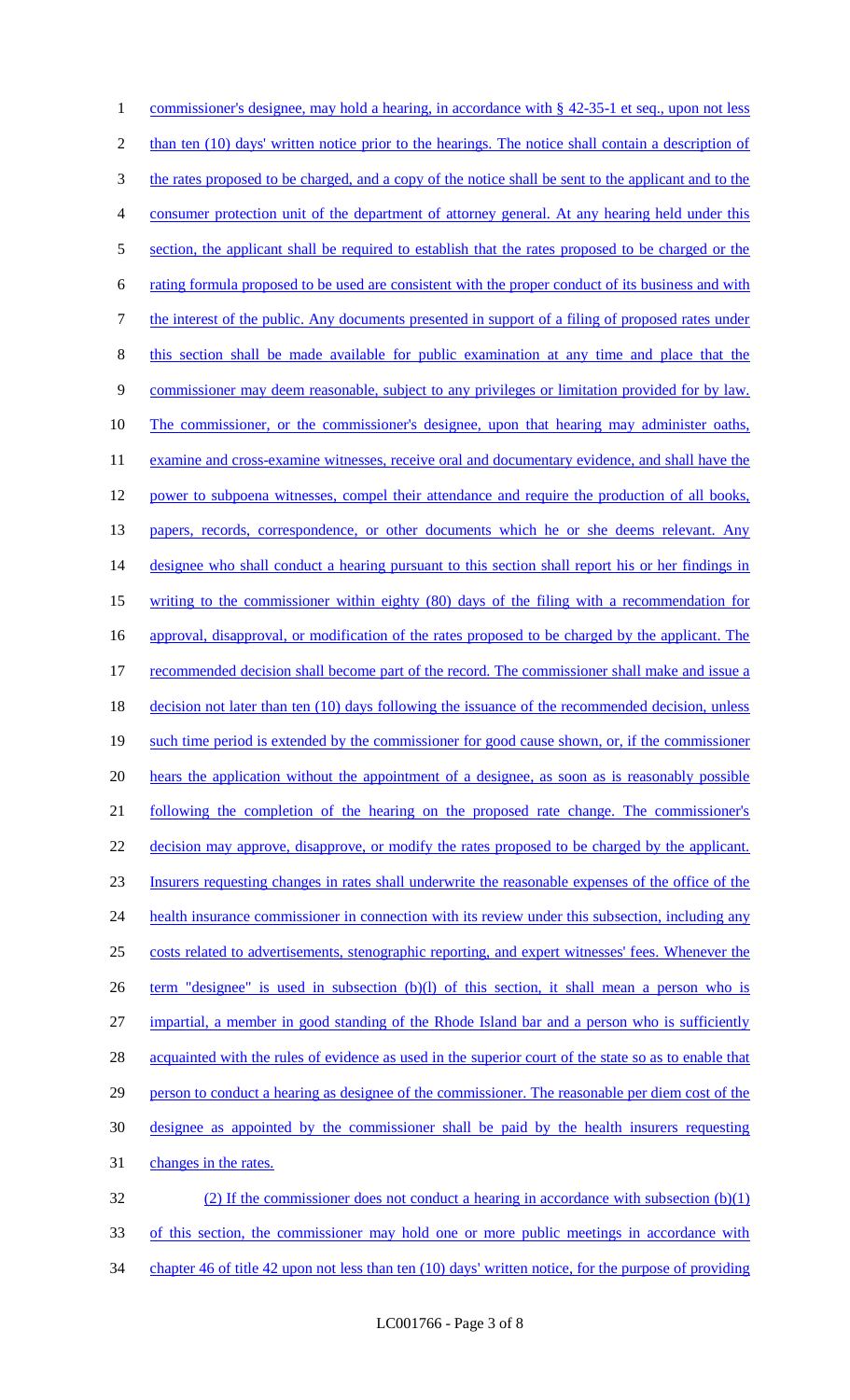1 commissioner's designee, may hold a hearing, in accordance with § 42-35-1 et seq., upon not less 2 than ten (10) days' written notice prior to the hearings. The notice shall contain a description of 3 the rates proposed to be charged, and a copy of the notice shall be sent to the applicant and to the 4 consumer protection unit of the department of attorney general. At any hearing held under this 5 section, the applicant shall be required to establish that the rates proposed to be charged or the 6 rating formula proposed to be used are consistent with the proper conduct of its business and with 7 the interest of the public. Any documents presented in support of a filing of proposed rates under 8 this section shall be made available for public examination at any time and place that the 9 commissioner may deem reasonable, subject to any privileges or limitation provided for by law. 10 The commissioner, or the commissioner's designee, upon that hearing may administer oaths, 11 examine and cross-examine witnesses, receive oral and documentary evidence, and shall have the 12 power to subpoena witnesses, compel their attendance and require the production of all books, 13 papers, records, correspondence, or other documents which he or she deems relevant. Any 14 designee who shall conduct a hearing pursuant to this section shall report his or her findings in 15 writing to the commissioner within eighty (80) days of the filing with a recommendation for 16 approval, disapproval, or modification of the rates proposed to be charged by the applicant. The 17 recommended decision shall become part of the record. The commissioner shall make and issue a 18 decision not later than ten (10) days following the issuance of the recommended decision, unless 19 such time period is extended by the commissioner for good cause shown, or, if the commissioner 20 hears the application without the appointment of a designee, as soon as is reasonably possible 21 following the completion of the hearing on the proposed rate change. The commissioner's 22 decision may approve, disapprove, or modify the rates proposed to be charged by the applicant. 23 Insurers requesting changes in rates shall underwrite the reasonable expenses of the office of the 24 health insurance commissioner in connection with its review under this subsection, including any 25 costs related to advertisements, stenographic reporting, and expert witnesses' fees. Whenever the 26 term "designee" is used in subsection (b)(l) of this section, it shall mean a person who is 27 impartial, a member in good standing of the Rhode Island bar and a person who is sufficiently 28 acquainted with the rules of evidence as used in the superior court of the state so as to enable that 29 person to conduct a hearing as designee of the commissioner. The reasonable per diem cost of the 30 designee as appointed by the commissioner shall be paid by the health insurers requesting 31 changes in the rates. 32 (2) If the commissioner does not conduct a hearing in accordance with subsection (b)(1)

33 of this section, the commissioner may hold one or more public meetings in accordance with 34 chapter 46 of title 42 upon not less than ten (10) days' written notice, for the purpose of providing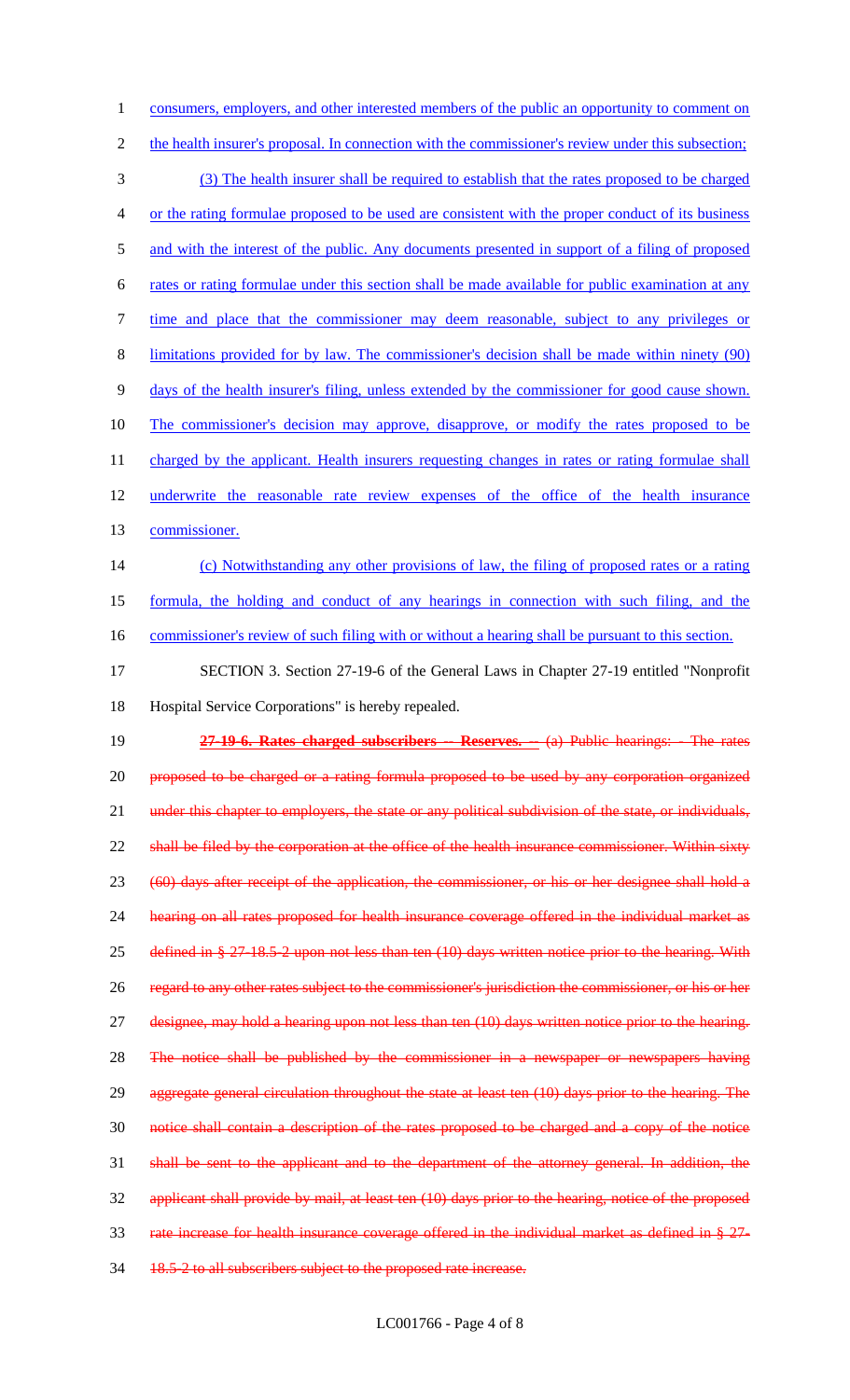1 consumers, employers, and other interested members of the public an opportunity to comment on 2 the health insurer's proposal. In connection with the commissioner's review under this subsection; (3) The health insurer shall be required to establish that the rates proposed to be charged or the rating formulae proposed to be used are consistent with the proper conduct of its business 5 and with the interest of the public. Any documents presented in support of a filing of proposed rates or rating formulae under this section shall be made available for public examination at any time and place that the commissioner may deem reasonable, subject to any privileges or limitations provided for by law. The commissioner's decision shall be made within ninety (90) days of the health insurer's filing, unless extended by the commissioner for good cause shown. The commissioner's decision may approve, disapprove, or modify the rates proposed to be 11 charged by the applicant. Health insurers requesting changes in rates or rating formulae shall underwrite the reasonable rate review expenses of the office of the health insurance commissioner. (c) Notwithstanding any other provisions of law, the filing of proposed rates or a rating formula, the holding and conduct of any hearings in connection with such filing, and the 16 commissioner's review of such filing with or without a hearing shall be pursuant to this section. SECTION 3. Section 27-19-6 of the General Laws in Chapter 27-19 entitled "Nonprofit Hospital Service Corporations" is hereby repealed. **27-19-6. Rates charged subscribers -- Reserves. --** (a) Public hearings: - The rates proposed to be charged or a rating formula proposed to be used by any corporation organized 21 under this chapter to employers, the state or any political subdivision of the state, or individuals, 22 shall be filed by the corporation at the office of the health insurance commissioner. Within sixty (60) days after receipt of the application, the commissioner, or his or her designee shall hold a hearing on all rates proposed for health insurance coverage offered in the individual market as defined in § 27-18.5-2 upon not less than ten (10) days written notice prior to the hearing. With regard to any other rates subject to the commissioner's jurisdiction the commissioner, or his or her designee, may hold a hearing upon not less than ten (10) days written notice prior to the hearing. The notice shall be published by the commissioner in a newspaper or newspapers having 29 aggregate general circulation throughout the state at least ten (10) days prior to the hearing. The notice shall contain a description of the rates proposed to be charged and a copy of the notice shall be sent to the applicant and to the department of the attorney general. In addition, the applicant shall provide by mail, at least ten (10) days prior to the hearing, notice of the proposed 33 rate increase for health insurance coverage offered in the individual market as defined in  $\S 27$ -

34 18.5-2 to all subscribers subject to the proposed rate increase.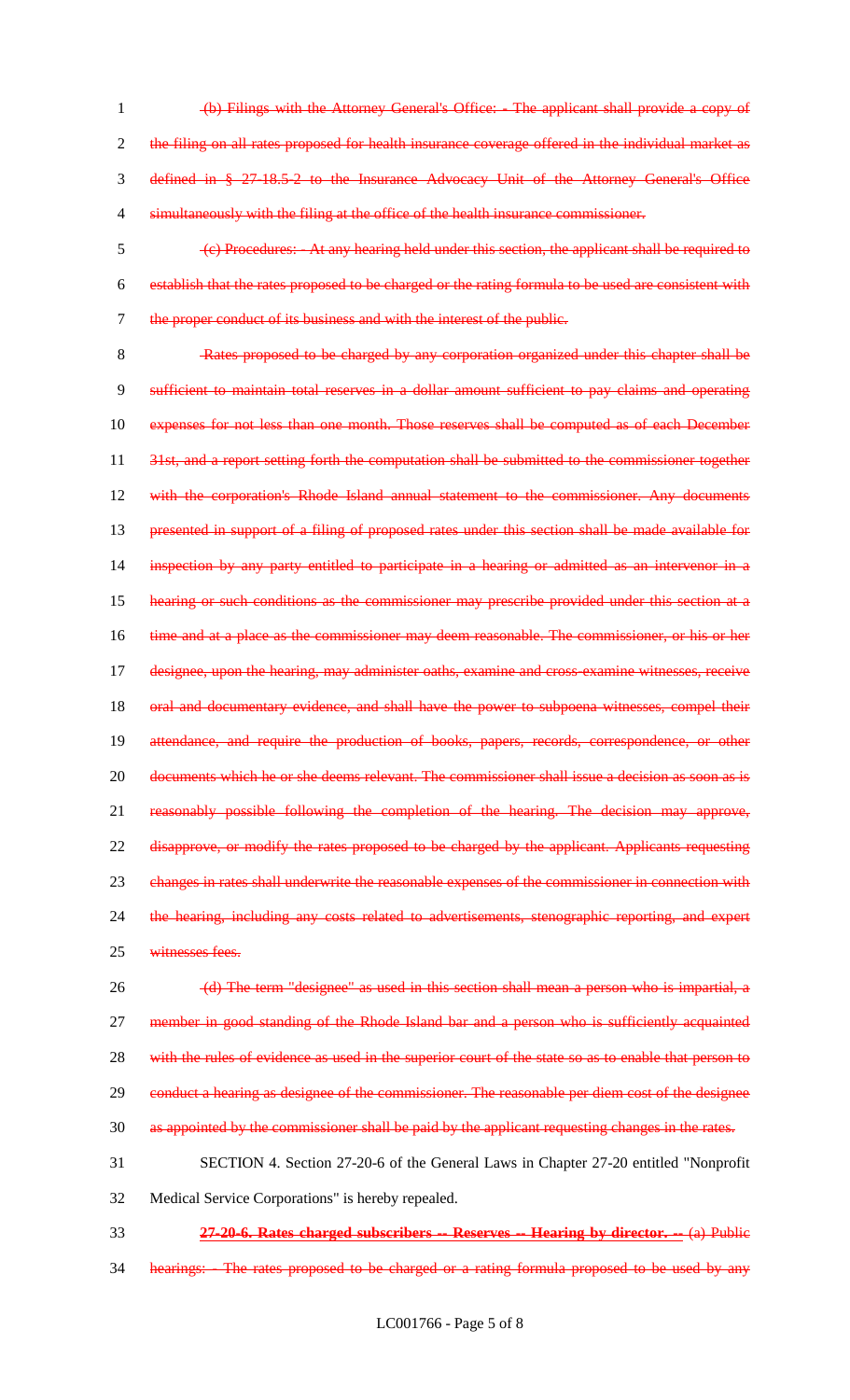- 1 (b) Filings with the Attorney General's Office: The applicant shall provide a copy of 2 the filing on all rates proposed for health insurance coverage offered in the individual market as 3 defined in § 27-18.5-2 to the Insurance Advocacy Unit of the Attorney General's Office 4 simultaneously with the filing at the office of the health insurance commissioner.
- 5 (c) Procedures: At any hearing held under this section, the applicant shall be required to 6 establish that the rates proposed to be charged or the rating formula to be used are consistent with 7 the proper conduct of its business and with the interest of the public.

8 Rates proposed to be charged by any corporation organized under this chapter shall be 9 sufficient to maintain total reserves in a dollar amount sufficient to pay claims and operating 10 expenses for not less than one month. Those reserves shall be computed as of each December 11 31st, and a report setting forth the computation shall be submitted to the commissioner together 12 with the corporation's Rhode Island annual statement to the commissioner. Any documents 13 presented in support of a filing of proposed rates under this section shall be made available for 14 inspection by any party entitled to participate in a hearing or admitted as an intervenor in a 15 hearing or such conditions as the commissioner may prescribe provided under this section at a 16 time and at a place as the commissioner may deem reasonable. The commissioner, or his or her 17 designee, upon the hearing, may administer oaths, examine and cross-examine witnesses, receive 18 oral and documentary evidence, and shall have the power to subpoena witnesses, compel their 19 attendance, and require the production of books, papers, records, correspondence, or other 20 documents which he or she deems relevant. The commissioner shall issue a decision as soon as is 21 reasonably possible following the completion of the hearing. The decision may approve, 22 disapprove, or modify the rates proposed to be charged by the applicant. Applicants requesting 23 changes in rates shall underwrite the reasonable expenses of the commissioner in connection with 24 the hearing, including any costs related to advertisements, stenographic reporting, and expert

25 witnesses fees.

26 (d) The term "designee" as used in this section shall mean a person who is impartial, a 27 member in good standing of the Rhode Island bar and a person who is sufficiently acquainted 28 with the rules of evidence as used in the superior court of the state so as to enable that person to 29 conduct a hearing as designee of the commissioner. The reasonable per diem cost of the designee 30 as appointed by the commissioner shall be paid by the applicant requesting changes in the rates. 31 SECTION 4. Section 27-20-6 of the General Laws in Chapter 27-20 entitled "Nonprofit

- 32 Medical Service Corporations" is hereby repealed.
- 33 **27-20-6. Rates charged subscribers -- Reserves -- Hearing by director. --** (a) Public
- 34 hearings: The rates proposed to be charged or a rating formula proposed to be used by any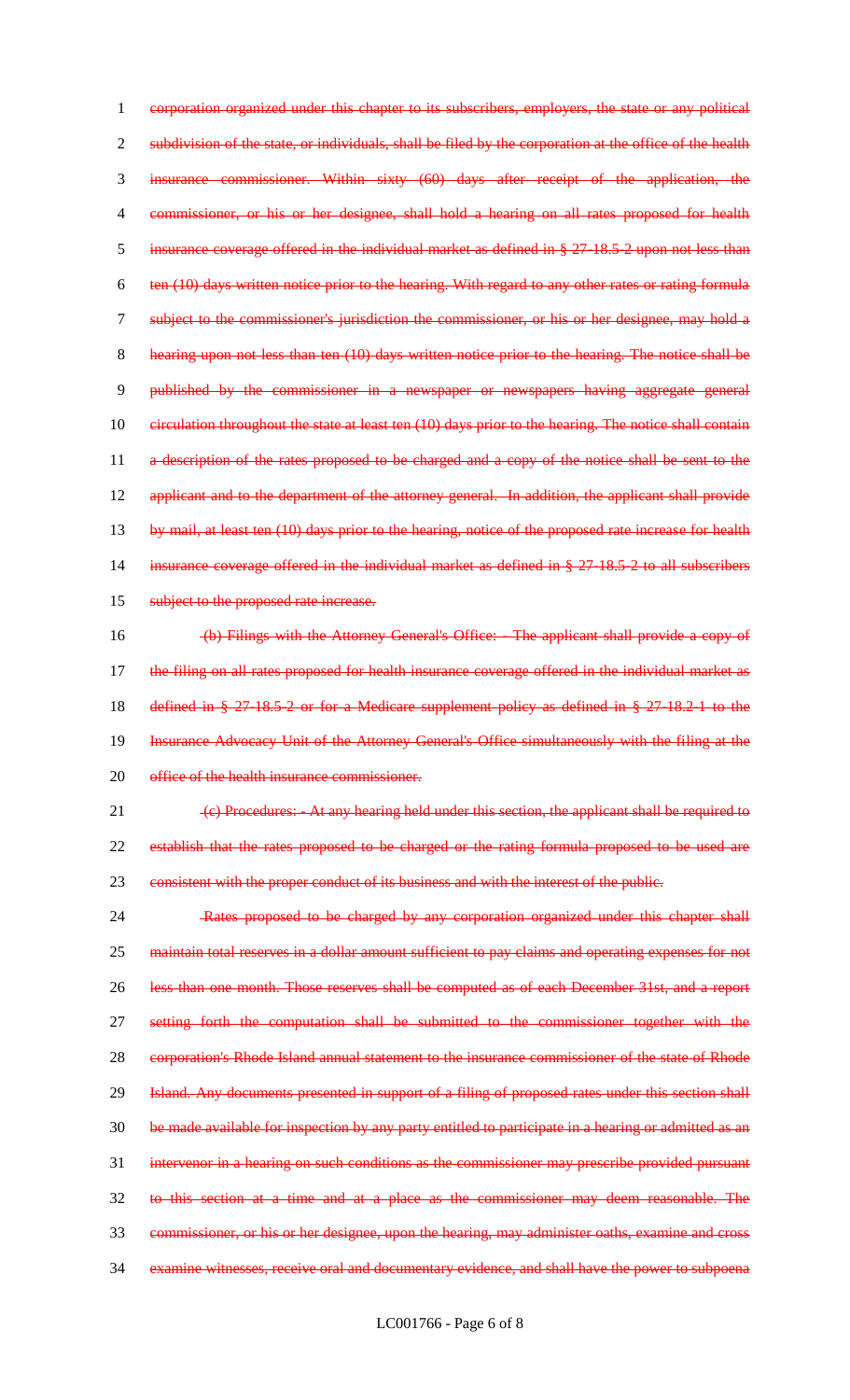corporation organized under this chapter to its subscribers, employers, the state or any political 2 subdivision of the state, or individuals, shall be filed by the corporation at the office of the health insurance commissioner. Within sixty (60) days after receipt of the application, the commissioner, or his or her designee, shall hold a hearing on all rates proposed for health insurance coverage offered in the individual market as defined in § 27-18.5-2 upon not less than ten (10) days written notice prior to the hearing. With regard to any other rates or rating formula subject to the commissioner's jurisdiction the commissioner, or his or her designee, may hold a hearing upon not less than ten (10) days written notice prior to the hearing. The notice shall be published by the commissioner in a newspaper or newspapers having aggregate general 10 eirculation throughout the state at least ten (10) days prior to the hearing. The notice shall contain 11 a description of the rates proposed to be charged and a copy of the notice shall be sent to the 12 applicant and to the department of the attorney general. In addition, the applicant shall provide 13 by mail, at least ten (10) days prior to the hearing, notice of the proposed rate increase for health insurance coverage offered in the individual market as defined in § 27-18.5-2 to all subscribers 15 subject to the proposed rate increase. (b) Filings with the Attorney General's Office: - The applicant shall provide a copy of the filing on all rates proposed for health insurance coverage offered in the individual market as defined in § 27-18.5-2 or for a Medicare supplement policy as defined in § 27-18.2-1 to the Insurance Advocacy Unit of the Attorney General's Office simultaneously with the filing at the 20 office of the health insurance commissioner. 21 (c) Procedures: - At any hearing held under this section, the applicant shall be required to establish that the rates proposed to be charged or the rating formula proposed to be used are 23 consistent with the proper conduct of its business and with the interest of the public. Rates proposed to be charged by any corporation organized under this chapter shall 25 maintain total reserves in a dollar amount sufficient to pay claims and operating expenses for not

 less than one month. Those reserves shall be computed as of each December 31st, and a report setting forth the computation shall be submitted to the commissioner together with the 28 corporation's Rhode Island annual statement to the insurance commissioner of the state of Rhode 29 Island. Any documents presented in support of a filing of proposed rates under this section shall be made available for inspection by any party entitled to participate in a hearing or admitted as an intervenor in a hearing on such conditions as the commissioner may prescribe provided pursuant to this section at a time and at a place as the commissioner may deem reasonable. The commissioner, or his or her designee, upon the hearing, may administer oaths, examine and cross examine witnesses, receive oral and documentary evidence, and shall have the power to subpoena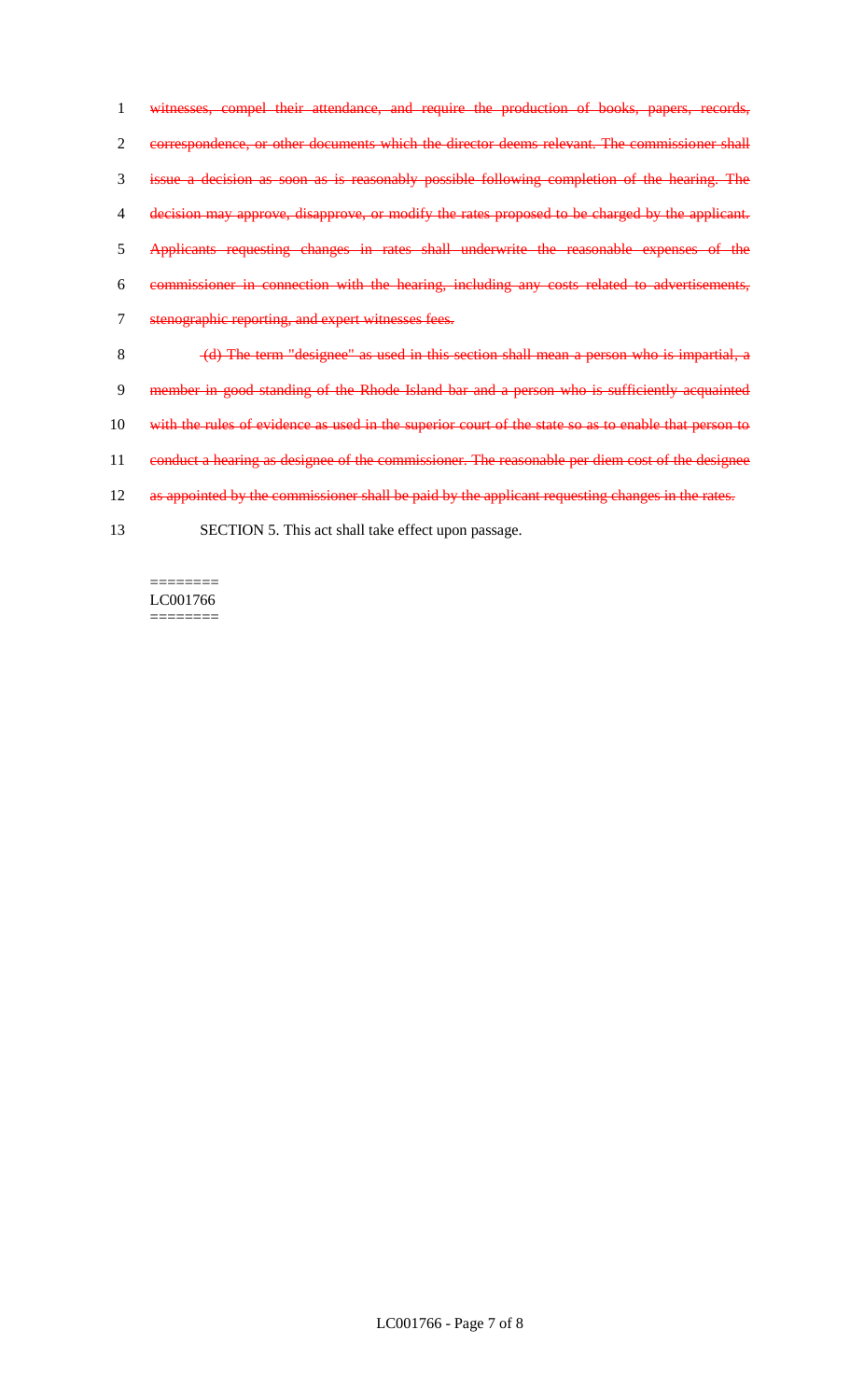witnesses, compel their attendance, and require the production of books, papers, records, correspondence, or other documents which the director deems relevant. The commissioner shall issue a decision as soon as is reasonably possible following completion of the hearing. The decision may approve, disapprove, or modify the rates proposed to be charged by the applicant. Applicants requesting changes in rates shall underwrite the reasonable expenses of the commissioner in connection with the hearing, including any costs related to advertisements, stenographic reporting, and expert witnesses fees. (d) The term "designee" as used in this section shall mean a person who is impartial, a 9 member in good standing of the Rhode Island bar and a person who is sufficiently acquainted 10 with the rules of evidence as used in the superior court of the state so as to enable that person to 11 conduct a hearing as designee of the commissioner. The reasonable per diem cost of the designee

- 12 as appointed by the commissioner shall be paid by the applicant requesting changes in the rates.
- 13 SECTION 5. This act shall take effect upon passage.

LC001766  $=$ 

========